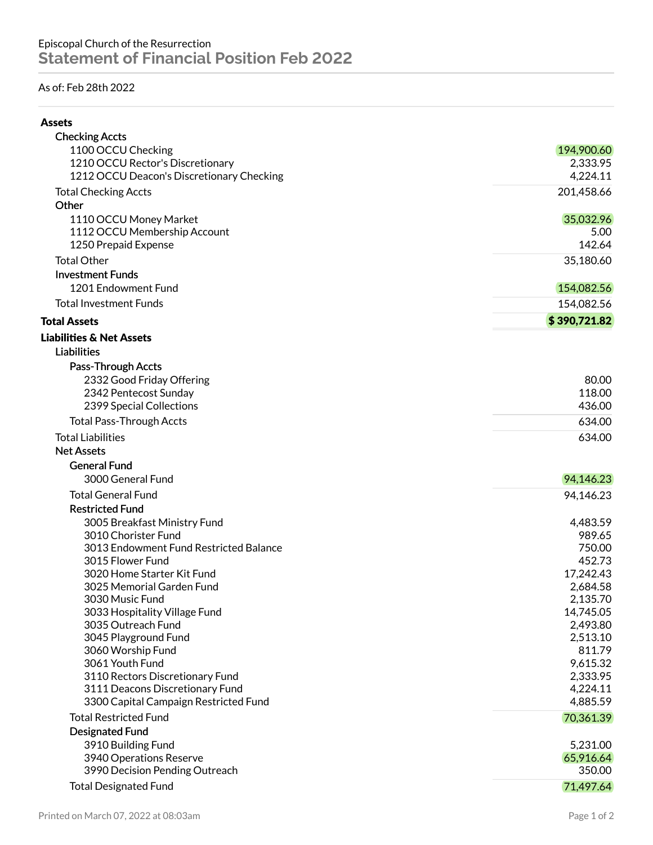## As of: Feb 28th 2022

| ۰.<br>۰,<br>۰, |
|----------------|
|----------------|

| <b>Checking Accts</b>                                                    |                      |
|--------------------------------------------------------------------------|----------------------|
| 1100 OCCU Checking                                                       | 194,900.60           |
| 1210 OCCU Rector's Discretionary                                         | 2,333.95             |
| 1212 OCCU Deacon's Discretionary Checking                                | 4,224.11             |
| <b>Total Checking Accts</b>                                              | 201,458.66           |
| Other                                                                    |                      |
| 1110 OCCU Money Market                                                   | 35,032.96            |
| 1112 OCCU Membership Account                                             | 5.00                 |
| 1250 Prepaid Expense                                                     | 142.64               |
| <b>Total Other</b>                                                       | 35,180.60            |
| <b>Investment Funds</b>                                                  |                      |
| 1201 Endowment Fund                                                      | 154,082.56           |
| <b>Total Investment Funds</b>                                            | 154,082.56           |
| <b>Total Assets</b>                                                      | \$390,721.82         |
| <b>Liabilities &amp; Net Assets</b>                                      |                      |
| <b>Liabilities</b>                                                       |                      |
| Pass-Through Accts                                                       |                      |
| 2332 Good Friday Offering                                                | 80.00                |
| 2342 Pentecost Sunday                                                    | 118.00               |
| 2399 Special Collections                                                 | 436.00               |
| <b>Total Pass-Through Accts</b>                                          | 634.00               |
| <b>Total Liabilities</b>                                                 | 634.00               |
| <b>Net Assets</b>                                                        |                      |
| <b>General Fund</b>                                                      |                      |
| 3000 General Fund                                                        | 94,146.23            |
| <b>Total General Fund</b>                                                | 94,146.23            |
| <b>Restricted Fund</b>                                                   |                      |
| 3005 Breakfast Ministry Fund                                             | 4,483.59             |
| 3010 Chorister Fund                                                      | 989.65               |
| 3013 Endowment Fund Restricted Balance                                   | 750.00               |
| 3015 Flower Fund                                                         | 452.73               |
| 3020 Home Starter Kit Fund                                               | 17,242.43            |
| 3025 Memorial Garden Fund                                                | 2,684.58             |
| 3030 Music Fund                                                          | 2,135.70             |
| 3033 Hospitality Village Fund                                            | 14,745.05            |
| 3035 Outreach Fund                                                       | 2,493.80             |
| 3045 Playground Fund                                                     | 2,513.10             |
| 3060 Worship Fund                                                        | 811.79               |
| 3061 Youth Fund                                                          | 9,615.32             |
| 3110 Rectors Discretionary Fund                                          | 2,333.95             |
| 3111 Deacons Discretionary Fund<br>3300 Capital Campaign Restricted Fund | 4,224.11<br>4,885.59 |
| <b>Total Restricted Fund</b>                                             | 70,361.39            |
| Designated Fund                                                          |                      |
| 3910 Building Fund                                                       | 5,231.00             |
| 3940 Operations Reserve                                                  | 65,916.64            |
| 3990 Decision Pending Outreach                                           | 350.00               |
| <b>Total Designated Fund</b>                                             | 71,497.64            |
|                                                                          |                      |